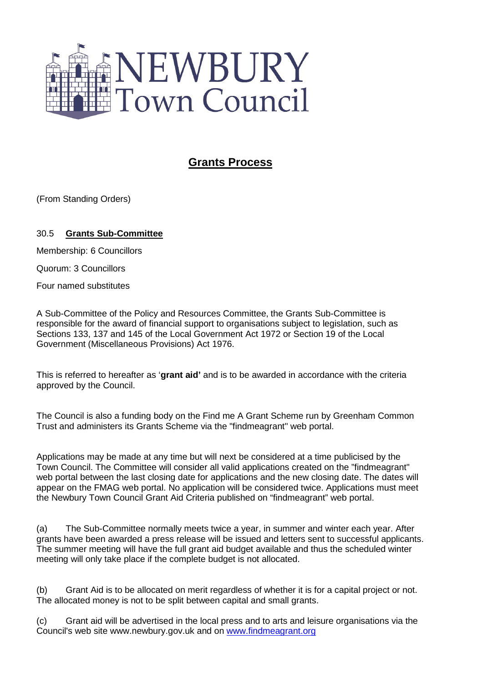

## **Grants Process**

(From Standing Orders)

## 30.5 **Grants Sub-Committee**

Membership: 6 Councillors

Quorum: 3 Councillors

Four named substitutes

A Sub-Committee of the Policy and Resources Committee, the Grants Sub-Committee is responsible for the award of financial support to organisations subject to legislation, such as Sections 133, 137 and 145 of the Local Government Act 1972 or Section 19 of the Local Government (Miscellaneous Provisions) Act 1976.

This is referred to hereafter as '**grant aid'** and is to be awarded in accordance with the criteria approved by the Council.

The Council is also a funding body on the Find me A Grant Scheme run by Greenham Common Trust and administers its Grants Scheme via the "findmeagrant" web portal.

Applications may be made at any time but will next be considered at a time publicised by the Town Council. The Committee will consider all valid applications created on the "findmeagrant" web portal between the last closing date for applications and the new closing date. The dates will appear on the FMAG web portal. No application will be considered twice. Applications must meet the Newbury Town Council Grant Aid Criteria published on "findmeagrant" web portal.

(a) The Sub-Committee normally meets twice a year, in summer and winter each year. After grants have been awarded a press release will be issued and letters sent to successful applicants. The summer meeting will have the full grant aid budget available and thus the scheduled winter meeting will only take place if the complete budget is not allocated.

(b) Grant Aid is to be allocated on merit regardless of whether it is for a capital project or not. The allocated money is not to be split between capital and small grants.

(c) Grant aid will be advertised in the local press and to arts and leisure organisations via the Council's web site www.newbury.gov.uk and on [www.findmeagrant.org](http://www.findmeagrant.org/)